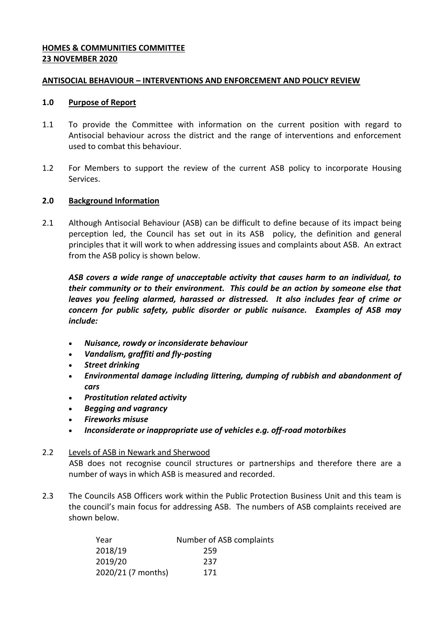### **HOMES & COMMUNITIES COMMITTEE 23 NOVEMBER 2020**

#### **ANTISOCIAL BEHAVIOUR – INTERVENTIONS AND ENFORCEMENT AND POLICY REVIEW**

#### **1.0 Purpose of Report**

- 1.1 To provide the Committee with information on the current position with regard to Antisocial behaviour across the district and the range of interventions and enforcement used to combat this behaviour.
- 1.2 For Members to support the review of the current ASB policy to incorporate Housing Services.

### **2.0 Background Information**

2.1 Although Antisocial Behaviour (ASB) can be difficult to define because of its impact being perception led, the Council has set out in its ASB policy, the definition and general principles that it will work to when addressing issues and complaints about ASB. An extract from the ASB policy is shown below.

*ASB covers a wide range of unacceptable activity that causes harm to an individual, to their community or to their environment. This could be an action by someone else that leaves you feeling alarmed, harassed or distressed. It also includes fear of crime or concern for public safety, public disorder or public nuisance. Examples of ASB may include:*

- *Nuisance, rowdy or inconsiderate behaviour*
- *Vandalism, graffiti and fly-posting*
- *Street drinking*
- *Environmental damage including littering, dumping of rubbish and abandonment of cars*
- *Prostitution related activity*
- *Begging and vagrancy*
- *Fireworks misuse*
- *Inconsiderate or inappropriate use of vehicles e.g. off-road motorbikes*

### 2.2 Levels of ASB in Newark and Sherwood

ASB does not recognise council structures or partnerships and therefore there are a number of ways in which ASB is measured and recorded.

2.3 The Councils ASB Officers work within the Public Protection Business Unit and this team is the council's main focus for addressing ASB. The numbers of ASB complaints received are shown below.

| Year               | Number of ASB complaints |
|--------------------|--------------------------|
| 2018/19            | 259                      |
| 2019/20            | 237                      |
| 2020/21 (7 months) | 171                      |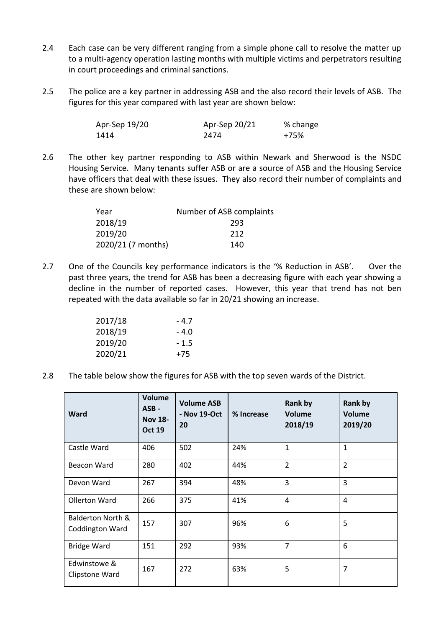- 2.4 Each case can be very different ranging from a simple phone call to resolve the matter up to a multi-agency operation lasting months with multiple victims and perpetrators resulting in court proceedings and criminal sanctions.
- 2.5 The police are a key partner in addressing ASB and the also record their levels of ASB. The figures for this year compared with last year are shown below:

| Apr-Sep 19/20 | Apr-Sep 20/21 | % change |
|---------------|---------------|----------|
| 1414          | 2474          | +75%     |

2.6 The other key partner responding to ASB within Newark and Sherwood is the NSDC Housing Service. Many tenants suffer ASB or are a source of ASB and the Housing Service have officers that deal with these issues. They also record their number of complaints and these are shown below:

| Year               | Number of ASB complaints |
|--------------------|--------------------------|
| 2018/19            | 293                      |
| 2019/20            | 212                      |
| 2020/21 (7 months) | 140                      |

2.7 One of the Councils key performance indicators is the '% Reduction in ASB'. Over the past three years, the trend for ASB has been a decreasing figure with each year showing a decline in the number of reported cases. However, this year that trend has not ben repeated with the data available so far in 20/21 showing an increase.

| 2017/18 | - 4.7 |
|---------|-------|
| 2018/19 | - 4.0 |
| 2019/20 | - 1.5 |
| 2020/21 | +75   |

2.8 The table below show the figures for ASB with the top seven wards of the District.

| Ward                                            | <b>Volume</b><br>ASB-<br><b>Nov 18-</b><br><b>Oct 19</b> | <b>Volume ASB</b><br>- Nov 19-Oct<br>20 | % Increase | <b>Rank by</b><br><b>Volume</b><br>2018/19 | <b>Rank by</b><br><b>Volume</b><br>2019/20 |
|-------------------------------------------------|----------------------------------------------------------|-----------------------------------------|------------|--------------------------------------------|--------------------------------------------|
| Castle Ward                                     | 406                                                      | 502                                     | 24%        | $\mathbf{1}$                               | $\mathbf{1}$                               |
| Beacon Ward                                     | 280                                                      | 402                                     | 44%        | $\overline{2}$                             | $\overline{2}$                             |
| Devon Ward                                      | 267                                                      | 394                                     | 48%        | 3                                          | 3                                          |
| Ollerton Ward                                   | 266                                                      | 375                                     | 41%        | $\overline{4}$                             | $\overline{4}$                             |
| <b>Balderton North &amp;</b><br>Coddington Ward | 157                                                      | 307                                     | 96%        | 6                                          | 5                                          |
| <b>Bridge Ward</b>                              | 151                                                      | 292                                     | 93%        | $\overline{7}$                             | 6                                          |
| Edwinstowe &<br>Clipstone Ward                  | 167                                                      | 272                                     | 63%        | 5                                          | 7                                          |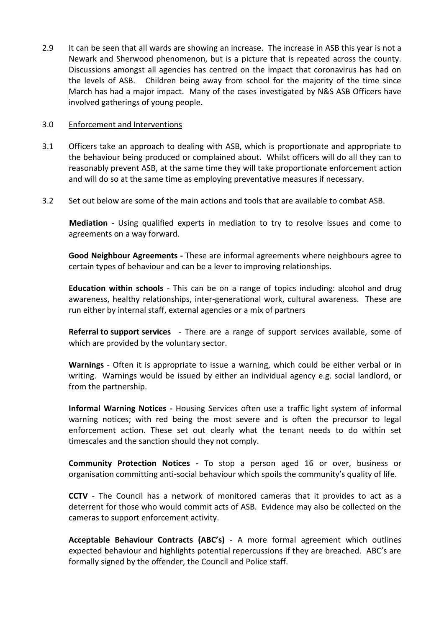2.9 It can be seen that all wards are showing an increase. The increase in ASB this year is not a Newark and Sherwood phenomenon, but is a picture that is repeated across the county. Discussions amongst all agencies has centred on the impact that coronavirus has had on the levels of ASB. Children being away from school for the majority of the time since March has had a major impact. Many of the cases investigated by N&S ASB Officers have involved gatherings of young people.

### 3.0 Enforcement and Interventions

- 3.1 Officers take an approach to dealing with ASB, which is proportionate and appropriate to the behaviour being produced or complained about. Whilst officers will do all they can to reasonably prevent ASB, at the same time they will take proportionate enforcement action and will do so at the same time as employing preventative measures if necessary.
- 3.2 Set out below are some of the main actions and tools that are available to combat ASB.

**Mediation** - Using qualified experts in mediation to try to resolve issues and come to agreements on a way forward.

**Good Neighbour Agreements -** These are informal agreements where neighbours agree to certain types of behaviour and can be a lever to improving relationships.

**Education within schools** - This can be on a range of topics including: alcohol and drug awareness, healthy relationships, inter-generational work, cultural awareness. These are run either by internal staff, external agencies or a mix of partners

**Referral to support services** - There are a range of support services available, some of which are provided by the voluntary sector.

**Warnings** - Often it is appropriate to issue a warning, which could be either verbal or in writing. Warnings would be issued by either an individual agency e.g. social landlord, or from the partnership.

**Informal Warning Notices -** Housing Services often use a traffic light system of informal warning notices; with red being the most severe and is often the precursor to legal enforcement action. These set out clearly what the tenant needs to do within set timescales and the sanction should they not comply.

**Community Protection Notices -** To stop a person aged 16 or over, business or organisation committing anti-social behaviour which spoils the community's quality of life.

**CCTV** - The Council has a network of monitored cameras that it provides to act as a deterrent for those who would commit acts of ASB. Evidence may also be collected on the cameras to support enforcement activity.

**Acceptable Behaviour Contracts (ABC's)** - A more formal agreement which outlines expected behaviour and highlights potential repercussions if they are breached. ABC's are formally signed by the offender, the Council and Police staff.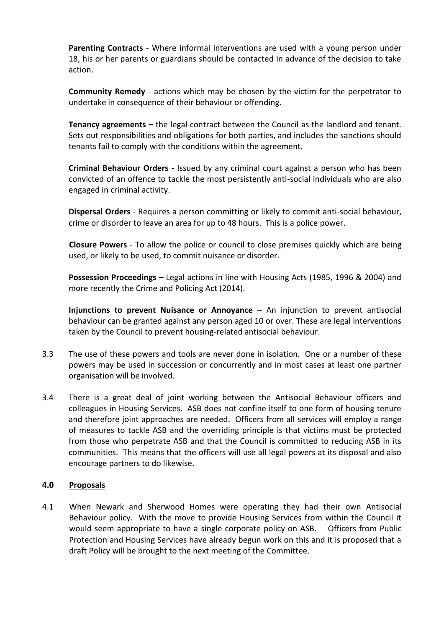**Parenting Contracts** - Where informal interventions are used with a young person under 18, his or her parents or guardians should be contacted in advance of the decision to take action.

**Community Remedy** - actions which may be chosen by the victim for the perpetrator to undertake in consequence of their behaviour or offending.

**Tenancy agreements –** the legal contract between the Council as the landlord and tenant. Sets out responsibilities and obligations for both parties, and includes the sanctions should tenants fail to comply with the conditions within the agreement.

**Criminal Behaviour Orders -** Issued by any criminal court against a person who has been convicted of an offence to tackle the most persistently anti-social individuals who are also engaged in criminal activity.

**Dispersal Orders** - Requires a person committing or likely to commit anti-social behaviour, crime or disorder to leave an area for up to 48 hours. This is a police power.

**Closure Powers** - To allow the police or council to close premises quickly which are being used, or likely to be used, to commit nuisance or disorder.

**Possession Proceedings –** Legal actions in line with Housing Acts (1985, 1996 & 2004) and more recently the Crime and Policing Act (2014).

**Injunctions to prevent Nuisance or Annoyance** – An injunction to prevent antisocial behaviour can be granted against any person aged 10 or over. These are legal interventions taken by the Council to prevent housing-related antisocial behaviour.

- 3.3 The use of these powers and tools are never done in isolation. One or a number of these powers may be used in succession or concurrently and in most cases at least one partner organisation will be involved.
- 3.4 There is a great deal of joint working between the Antisocial Behaviour officers and colleagues in Housing Services. ASB does not confine itself to one form of housing tenure and therefore joint approaches are needed. Officers from all services will employ a range of measures to tackle ASB and the overriding principle is that victims must be protected from those who perpetrate ASB and that the Council is committed to reducing ASB in its communities. This means that the officers will use all legal powers at its disposal and also encourage partners to do likewise.

# **4.0 Proposals**

4.1 When Newark and Sherwood Homes were operating they had their own Antisocial Behaviour policy. With the move to provide Housing Services from within the Council it would seem appropriate to have a single corporate policy on ASB. Officers from Public Protection and Housing Services have already begun work on this and it is proposed that a draft Policy will be brought to the next meeting of the Committee.